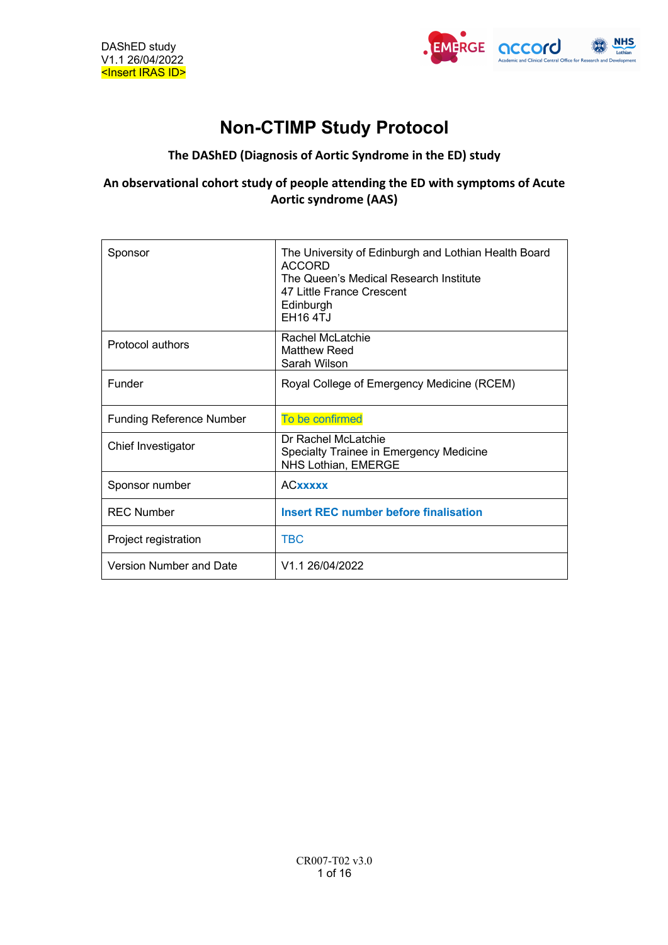

## **Non-CTIMP Study Protocol**

### **The DAShED (Diagnosis of Aortic Syndrome in the ED) study**

### **An observational cohort study of people attending the ED with symptoms of Acute Aortic syndrome (AAS)**

| Sponsor                         | The University of Edinburgh and Lothian Health Board<br><b>ACCORD</b><br>The Queen's Medical Research Institute<br>47 Little France Crescent<br>Edinburgh<br><b>EH16 4TJ</b> |
|---------------------------------|------------------------------------------------------------------------------------------------------------------------------------------------------------------------------|
| Protocol authors                | Rachel McLatchie<br>Matthew Reed<br>Sarah Wilson                                                                                                                             |
| Funder                          | Royal College of Emergency Medicine (RCEM)                                                                                                                                   |
| <b>Funding Reference Number</b> | To be confirmed                                                                                                                                                              |
| Chief Investigator              | Dr Rachel McLatchie<br>Specialty Trainee in Emergency Medicine<br>NHS Lothian, EMERGE                                                                                        |
| Sponsor number                  | <b>ACxxxxx</b>                                                                                                                                                               |
| <b>REC Number</b>               | <b>Insert REC number before finalisation</b>                                                                                                                                 |
| Project registration            | <b>TBC</b>                                                                                                                                                                   |
| Version Number and Date         | V <sub>1.1</sub> 26/04/2022                                                                                                                                                  |

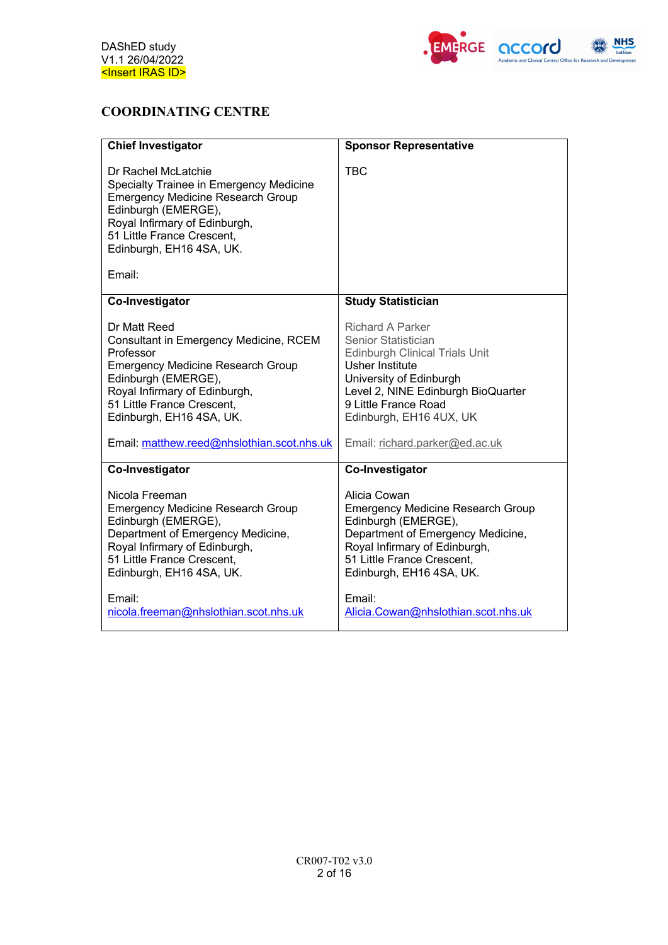

### **COORDINATING CENTRE**

| <b>Chief Investigator</b>                                                                                                                                                                                                              | <b>Sponsor Representative</b>                                                                                                                                                                                                         |
|----------------------------------------------------------------------------------------------------------------------------------------------------------------------------------------------------------------------------------------|---------------------------------------------------------------------------------------------------------------------------------------------------------------------------------------------------------------------------------------|
| Dr Rachel McLatchie<br>Specialty Trainee in Emergency Medicine<br><b>Emergency Medicine Research Group</b><br>Edinburgh (EMERGE),<br>Royal Infirmary of Edinburgh,<br>51 Little France Crescent,<br>Edinburgh, EH16 4SA, UK.<br>Email: | <b>TBC</b>                                                                                                                                                                                                                            |
| Co-Investigator                                                                                                                                                                                                                        | <b>Study Statistician</b>                                                                                                                                                                                                             |
| Dr Matt Reed<br>Consultant in Emergency Medicine, RCEM<br>Professor<br><b>Emergency Medicine Research Group</b><br>Edinburgh (EMERGE),<br>Royal Infirmary of Edinburgh,<br>51 Little France Crescent,<br>Edinburgh, EH16 4SA, UK.      | <b>Richard A Parker</b><br>Senior Statistician<br><b>Edinburgh Clinical Trials Unit</b><br><b>Usher Institute</b><br>University of Edinburgh<br>Level 2, NINE Edinburgh BioQuarter<br>9 Little France Road<br>Edinburgh, EH16 4UX, UK |
| Email: matthew.reed@nhslothian.scot.nhs.uk                                                                                                                                                                                             | Email: richard.parker@ed.ac.uk                                                                                                                                                                                                        |
| <b>Co-Investigator</b>                                                                                                                                                                                                                 | <b>Co-Investigator</b>                                                                                                                                                                                                                |
| Nicola Freeman<br><b>Emergency Medicine Research Group</b><br>Edinburgh (EMERGE),<br>Department of Emergency Medicine,<br>Royal Infirmary of Edinburgh,<br>51 Little France Crescent,<br>Edinburgh, EH16 4SA, UK.                      | Alicia Cowan<br><b>Emergency Medicine Research Group</b><br>Edinburgh (EMERGE),<br>Department of Emergency Medicine,<br>Royal Infirmary of Edinburgh,<br>51 Little France Crescent,<br>Edinburgh, EH16 4SA, UK.                       |
| Email:<br>nicola.freeman@nhslothian.scot.nhs.uk                                                                                                                                                                                        | Email:<br>Alicia.Cowan@nhslothian.scot.nhs.uk                                                                                                                                                                                         |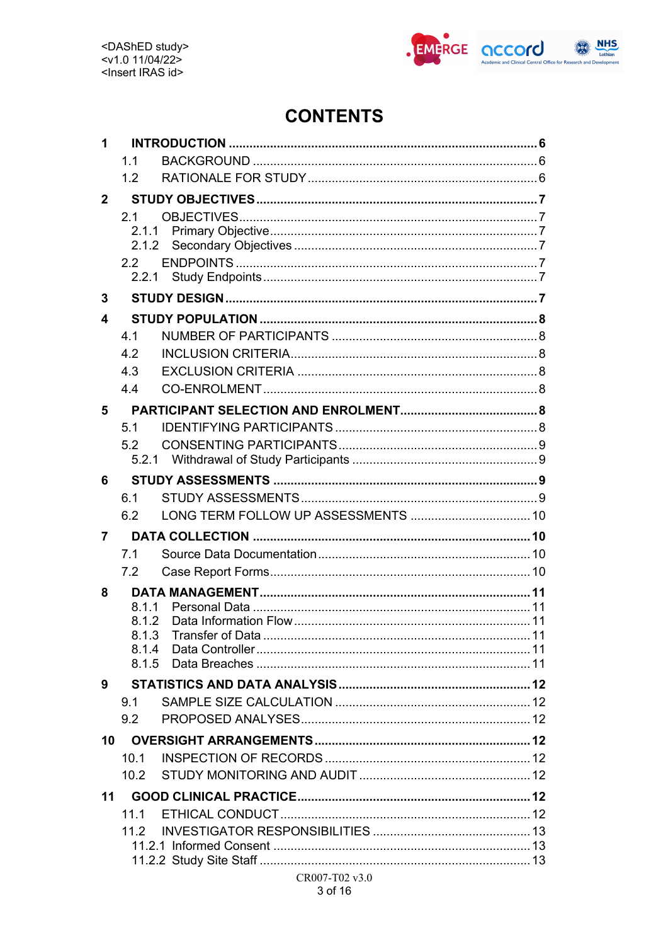

## **CONTENTS**

| 1               |                |  |  |
|-----------------|----------------|--|--|
|                 | 1 <sub>1</sub> |  |  |
|                 | 1.2            |  |  |
| $\mathbf{2}$    |                |  |  |
|                 | 21             |  |  |
|                 | 2.1.1          |  |  |
|                 | 2.1.2          |  |  |
|                 | 22<br>2.2.1    |  |  |
| 3               |                |  |  |
| 4               |                |  |  |
|                 | 4.1            |  |  |
|                 | 4.2            |  |  |
|                 | 4.3            |  |  |
|                 | 4.4            |  |  |
| 5               |                |  |  |
|                 | 5.1            |  |  |
|                 | 5.2            |  |  |
|                 | 5.2.1          |  |  |
| 6               |                |  |  |
|                 | 6.1            |  |  |
|                 | 6.2            |  |  |
| 7               |                |  |  |
|                 | 7.1            |  |  |
|                 | 7.2            |  |  |
| 8               |                |  |  |
|                 | 811<br>8.1.2   |  |  |
|                 |                |  |  |
|                 | 8.1.4          |  |  |
|                 | 8.1.5          |  |  |
| 9               |                |  |  |
|                 | 9.1            |  |  |
|                 | 9.2            |  |  |
| 10 <sup>°</sup> |                |  |  |
|                 | 10.1           |  |  |
|                 | 10.2           |  |  |
| 11              |                |  |  |
|                 | 111<br>112     |  |  |
|                 |                |  |  |
|                 |                |  |  |
|                 |                |  |  |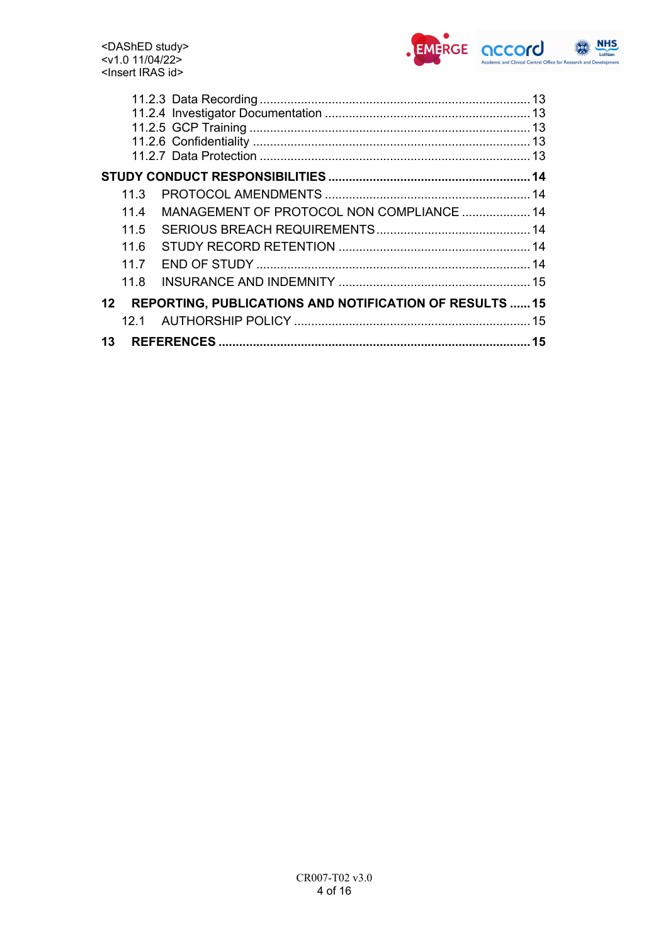

|                 | 11 3 |                                                               |  |
|-----------------|------|---------------------------------------------------------------|--|
|                 | 114  | MANAGEMENT OF PROTOCOL NON COMPLIANCE  14                     |  |
|                 | 11.5 |                                                               |  |
|                 | 11.6 |                                                               |  |
|                 | 11 7 |                                                               |  |
|                 | 11.8 |                                                               |  |
| 12 <sup>1</sup> |      | <b>REPORTING, PUBLICATIONS AND NOTIFICATION OF RESULTS 15</b> |  |
|                 | 12 1 |                                                               |  |
| 13              |      |                                                               |  |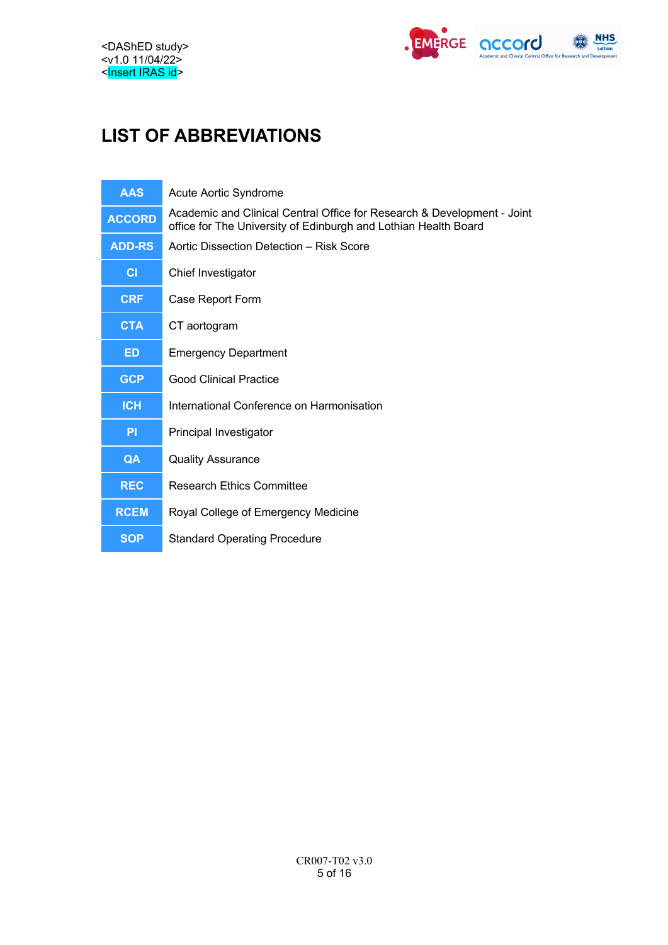

# **LIST OF ABBREVIATIONS**

| <b>AAS</b>    | Acute Aortic Syndrome                                                                                                                      |  |
|---------------|--------------------------------------------------------------------------------------------------------------------------------------------|--|
| <b>ACCORD</b> | Academic and Clinical Central Office for Research & Development - Joint<br>office for The University of Edinburgh and Lothian Health Board |  |
| <b>ADD-RS</b> | Aortic Dissection Detection - Risk Score                                                                                                   |  |
| CI            | Chief Investigator                                                                                                                         |  |
| <b>CRF</b>    | Case Report Form                                                                                                                           |  |
| <b>CTA</b>    | CT aortogram                                                                                                                               |  |
| <b>ED</b>     | <b>Emergency Department</b>                                                                                                                |  |
| <b>GCP</b>    | <b>Good Clinical Practice</b>                                                                                                              |  |
| <b>ICH</b>    | International Conference on Harmonisation                                                                                                  |  |
| <b>PI</b>     | Principal Investigator                                                                                                                     |  |
| QA            | <b>Quality Assurance</b>                                                                                                                   |  |
| <b>REC</b>    | <b>Research Ethics Committee</b>                                                                                                           |  |
| <b>RCEM</b>   | Royal College of Emergency Medicine                                                                                                        |  |
| <b>SOP</b>    | <b>Standard Operating Procedure</b>                                                                                                        |  |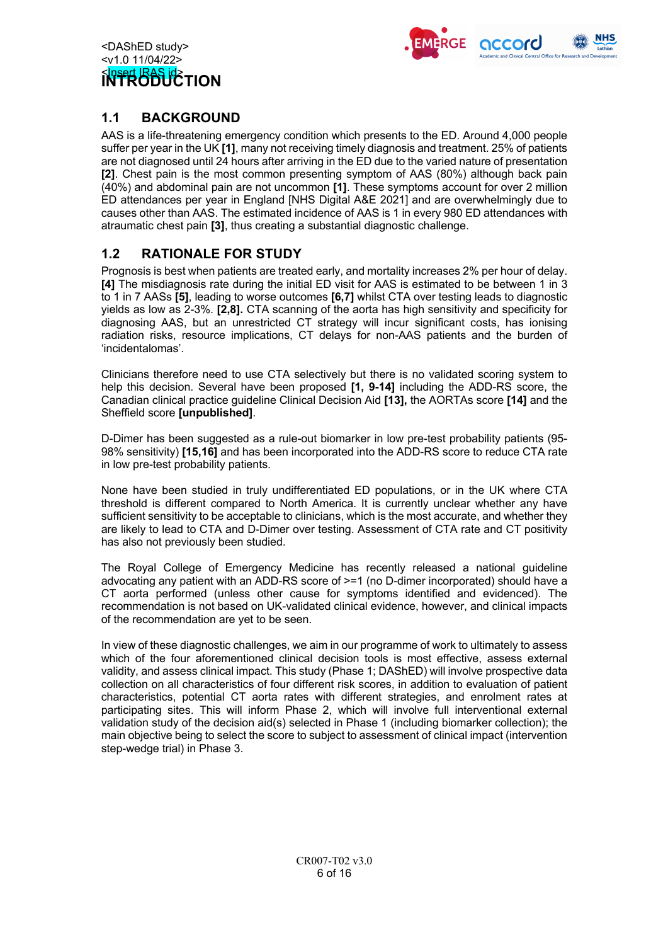### <DAShED study> <v1.0 11/04/22> **NDSER RASHED TION**



### **1.1 BACKGROUND**

AAS is a life-threatening emergency condition which presents to the ED. Around 4,000 people suffer per year in the UK **[1]**, many not receiving timely diagnosis and treatment. 25% of patients are not diagnosed until 24 hours after arriving in the ED due to the varied nature of presentation **[2]**. Chest pain is the most common presenting symptom of AAS (80%) although back pain (40%) and abdominal pain are not uncommon **[1]**. These symptoms account for over 2 million ED attendances per year in England [NHS Digital A&E 2021] and are overwhelmingly due to causes other than AAS. The estimated incidence of AAS is 1 in every 980 ED attendances with atraumatic chest pain **[3]**, thus creating a substantial diagnostic challenge.

### **1.2 RATIONALE FOR STUDY**

Prognosis is best when patients are treated early, and mortality increases 2% per hour of delay. **[4]** The misdiagnosis rate during the initial ED visit for AAS is estimated to be between 1 in 3 to 1 in 7 AASs **[5]**, leading to worse outcomes **[6,7]** whilst CTA over testing leads to diagnostic yields as low as 2-3%. **[2,8].** CTA scanning of the aorta has high sensitivity and specificity for diagnosing AAS, but an unrestricted CT strategy will incur significant costs, has ionising radiation risks, resource implications, CT delays for non-AAS patients and the burden of 'incidentalomas'.

Clinicians therefore need to use CTA selectively but there is no validated scoring system to help this decision. Several have been proposed **[1, 9-14]** including the ADD-RS score, the Canadian clinical practice guideline Clinical Decision Aid **[13],** the AORTAs score **[14]** and the Sheffield score **[unpublished]**.

D-Dimer has been suggested as a rule-out biomarker in low pre-test probability patients (95- 98% sensitivity) **[15,16]** and has been incorporated into the ADD-RS score to reduce CTA rate in low pre-test probability patients.

None have been studied in truly undifferentiated ED populations, or in the UK where CTA threshold is different compared to North America. It is currently unclear whether any have sufficient sensitivity to be acceptable to clinicians, which is the most accurate, and whether they are likely to lead to CTA and D-Dimer over testing. Assessment of CTA rate and CT positivity has also not previously been studied.

The Royal College of Emergency Medicine has recently released a national guideline advocating any patient with an ADD-RS score of >=1 (no D-dimer incorporated) should have a CT aorta performed (unless other cause for symptoms identified and evidenced). The recommendation is not based on UK-validated clinical evidence, however, and clinical impacts of the recommendation are yet to be seen.

In view of these diagnostic challenges, we aim in our programme of work to ultimately to assess which of the four aforementioned clinical decision tools is most effective, assess external validity, and assess clinical impact. This study (Phase 1; DAShED) will involve prospective data collection on all characteristics of four different risk scores, in addition to evaluation of patient characteristics, potential CT aorta rates with different strategies, and enrolment rates at participating sites. This will inform Phase 2, which will involve full interventional external validation study of the decision aid(s) selected in Phase 1 (including biomarker collection); the main objective being to select the score to subject to assessment of clinical impact (intervention step-wedge trial) in Phase 3.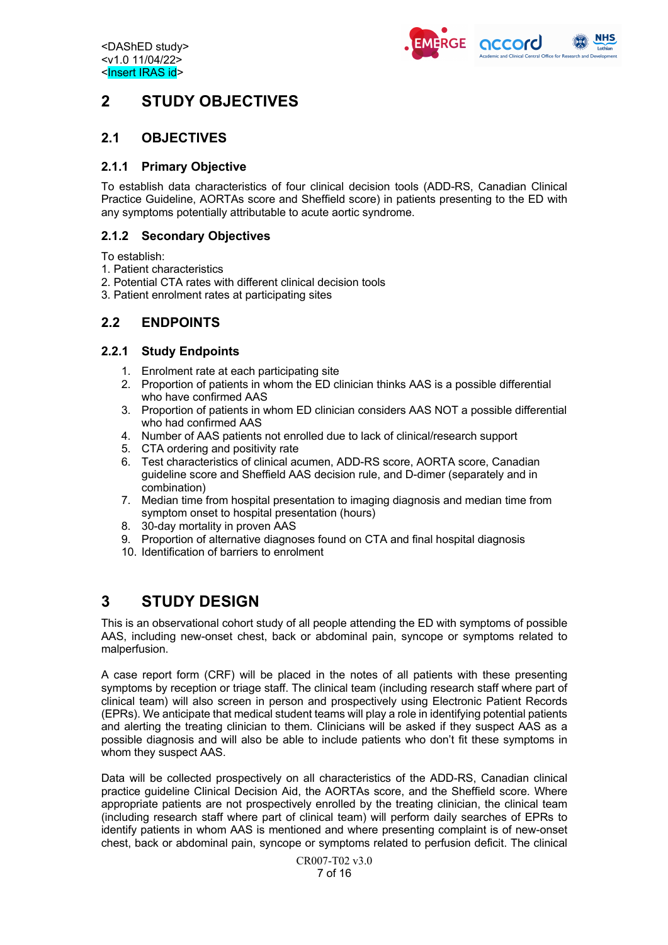

## **2 STUDY OBJECTIVES**

### **2.1 OBJECTIVES**

#### **2.1.1 Primary Objective**

To establish data characteristics of four clinical decision tools (ADD-RS, Canadian Clinical Practice Guideline, AORTAs score and Sheffield score) in patients presenting to the ED with any symptoms potentially attributable to acute aortic syndrome.

### **2.1.2 Secondary Objectives**

To establish:

- 1. Patient characteristics
- 2. Potential CTA rates with different clinical decision tools
- 3. Patient enrolment rates at participating sites

### **2.2 ENDPOINTS**

#### **2.2.1 Study Endpoints**

- 1. Enrolment rate at each participating site
- 2. Proportion of patients in whom the ED clinician thinks AAS is a possible differential who have confirmed AAS
- 3. Proportion of patients in whom ED clinician considers AAS NOT a possible differential who had confirmed AAS
- 4. Number of AAS patients not enrolled due to lack of clinical/research support
- 5. CTA ordering and positivity rate
- 6. Test characteristics of clinical acumen, ADD-RS score, AORTA score, Canadian guideline score and Sheffield AAS decision rule, and D-dimer (separately and in combination)
- 7. Median time from hospital presentation to imaging diagnosis and median time from symptom onset to hospital presentation (hours)
- 8. 30-day mortality in proven AAS
- 9. Proportion of alternative diagnoses found on CTA and final hospital diagnosis
- 10. Identification of barriers to enrolment

### **3 STUDY DESIGN**

This is an observational cohort study of all people attending the ED with symptoms of possible AAS, including new-onset chest, back or abdominal pain, syncope or symptoms related to malperfusion.

A case report form (CRF) will be placed in the notes of all patients with these presenting symptoms by reception or triage staff. The clinical team (including research staff where part of clinical team) will also screen in person and prospectively using Electronic Patient Records (EPRs). We anticipate that medical student teams will play a role in identifying potential patients and alerting the treating clinician to them. Clinicians will be asked if they suspect AAS as a possible diagnosis and will also be able to include patients who don't fit these symptoms in whom they suspect AAS.

Data will be collected prospectively on all characteristics of the ADD-RS, Canadian clinical practice guideline Clinical Decision Aid, the AORTAs score, and the Sheffield score. Where appropriate patients are not prospectively enrolled by the treating clinician, the clinical team (including research staff where part of clinical team) will perform daily searches of EPRs to identify patients in whom AAS is mentioned and where presenting complaint is of new-onset chest, back or abdominal pain, syncope or symptoms related to perfusion deficit. The clinical

> CR007-T02 v3.0 7 of 16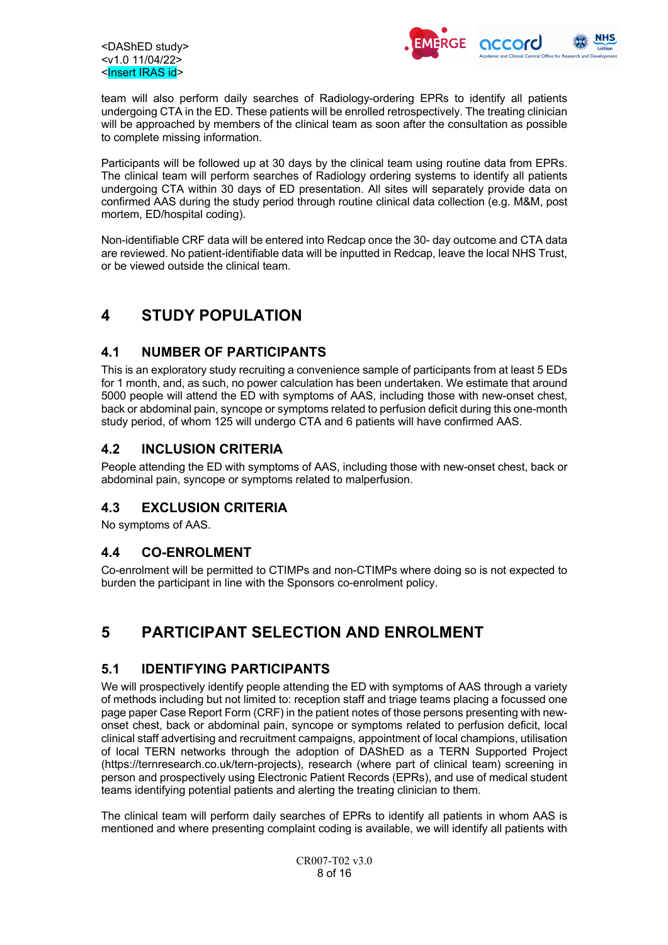

team will also perform daily searches of Radiology-ordering EPRs to identify all patients undergoing CTA in the ED. These patients will be enrolled retrospectively. The treating clinician will be approached by members of the clinical team as soon after the consultation as possible to complete missing information.

Participants will be followed up at 30 days by the clinical team using routine data from EPRs. The clinical team will perform searches of Radiology ordering systems to identify all patients undergoing CTA within 30 days of ED presentation. All sites will separately provide data on confirmed AAS during the study period through routine clinical data collection (e.g. M&M, post mortem, ED/hospital coding).

Non-identifiable CRF data will be entered into Redcap once the 30- day outcome and CTA data are reviewed. No patient-identifiable data will be inputted in Redcap, leave the local NHS Trust, or be viewed outside the clinical team.

## **4 STUDY POPULATION**

### **4.1 NUMBER OF PARTICIPANTS**

This is an exploratory study recruiting a convenience sample of participants from at least 5 EDs for 1 month, and, as such, no power calculation has been undertaken. We estimate that around 5000 people will attend the ED with symptoms of AAS, including those with new-onset chest, back or abdominal pain, syncope or symptoms related to perfusion deficit during this one-month study period, of whom 125 will undergo CTA and 6 patients will have confirmed AAS.

### **4.2 INCLUSION CRITERIA**

People attending the ED with symptoms of AAS, including those with new-onset chest, back or abdominal pain, syncope or symptoms related to malperfusion.

### **4.3 EXCLUSION CRITERIA**

No symptoms of AAS.

### **4.4 CO-ENROLMENT**

Co-enrolment will be permitted to CTIMPs and non-CTIMPs where doing so is not expected to burden the participant in line with the Sponsors co-enrolment policy.

## **5 PARTICIPANT SELECTION AND ENROLMENT**

### **5.1 IDENTIFYING PARTICIPANTS**

We will prospectively identify people attending the ED with symptoms of AAS through a variety of methods including but not limited to: reception staff and triage teams placing a focussed one page paper Case Report Form (CRF) in the patient notes of those persons presenting with newonset chest, back or abdominal pain, syncope or symptoms related to perfusion deficit, local clinical staff advertising and recruitment campaigns, appointment of local champions, utilisation of local TERN networks through the adoption of DAShED as a TERN Supported Project (https://ternresearch.co.uk/tern-projects), research (where part of clinical team) screening in person and prospectively using Electronic Patient Records (EPRs), and use of medical student teams identifying potential patients and alerting the treating clinician to them.

The clinical team will perform daily searches of EPRs to identify all patients in whom AAS is mentioned and where presenting complaint coding is available, we will identify all patients with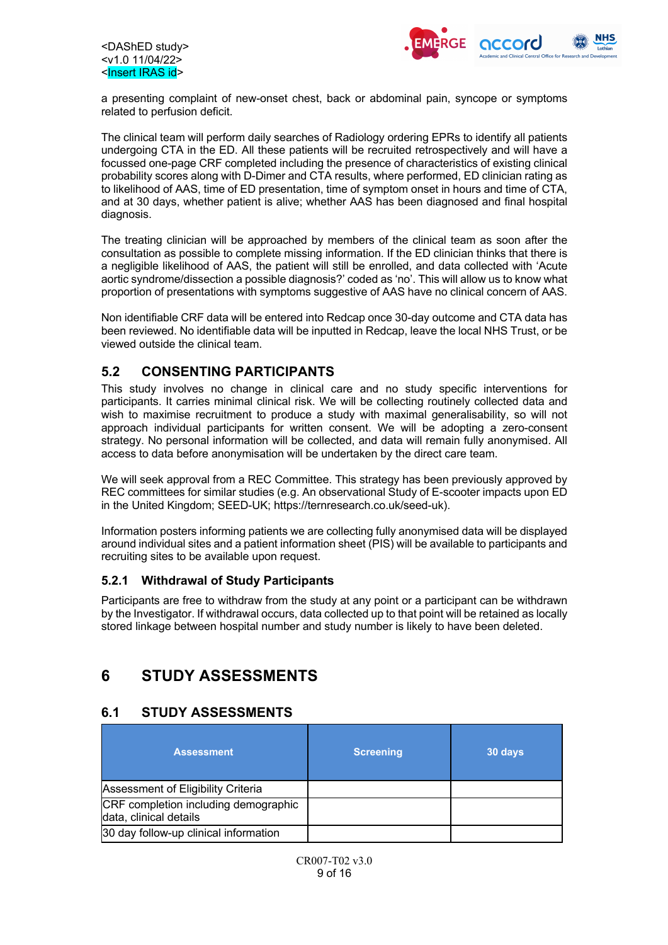



a presenting complaint of new-onset chest, back or abdominal pain, syncope or symptoms related to perfusion deficit.

The clinical team will perform daily searches of Radiology ordering EPRs to identify all patients undergoing CTA in the ED. All these patients will be recruited retrospectively and will have a focussed one-page CRF completed including the presence of characteristics of existing clinical probability scores along with D-Dimer and CTA results, where performed, ED clinician rating as to likelihood of AAS, time of ED presentation, time of symptom onset in hours and time of CTA, and at 30 days, whether patient is alive; whether AAS has been diagnosed and final hospital diagnosis.

The treating clinician will be approached by members of the clinical team as soon after the consultation as possible to complete missing information. If the ED clinician thinks that there is a negligible likelihood of AAS, the patient will still be enrolled, and data collected with 'Acute aortic syndrome/dissection a possible diagnosis?' coded as 'no'. This will allow us to know what proportion of presentations with symptoms suggestive of AAS have no clinical concern of AAS.

Non identifiable CRF data will be entered into Redcap once 30-day outcome and CTA data has been reviewed. No identifiable data will be inputted in Redcap, leave the local NHS Trust, or be viewed outside the clinical team.

### **5.2 CONSENTING PARTICIPANTS**

This study involves no change in clinical care and no study specific interventions for participants. It carries minimal clinical risk. We will be collecting routinely collected data and wish to maximise recruitment to produce a study with maximal generalisability, so will not approach individual participants for written consent. We will be adopting a zero-consent strategy. No personal information will be collected, and data will remain fully anonymised. All access to data before anonymisation will be undertaken by the direct care team.

We will seek approval from a REC Committee. This strategy has been previously approved by REC committees for similar studies (e.g. An observational Study of E-scooter impacts upon ED in the United Kingdom; SEED-UK; https://ternresearch.co.uk/seed-uk).

Information posters informing patients we are collecting fully anonymised data will be displayed around individual sites and a patient information sheet (PIS) will be available to participants and recruiting sites to be available upon request.

#### **5.2.1 Withdrawal of Study Participants**

Participants are free to withdraw from the study at any point or a participant can be withdrawn by the Investigator. If withdrawal occurs, data collected up to that point will be retained as locally stored linkage between hospital number and study number is likely to have been deleted.

### **6 STUDY ASSESSMENTS**

#### **6.1 STUDY ASSESSMENTS**

| <b>Assessment</b>                                              | <b>Screening</b> | 30 days |
|----------------------------------------------------------------|------------------|---------|
| Assessment of Eligibility Criteria                             |                  |         |
| CRF completion including demographic<br>data, clinical details |                  |         |
| 30 day follow-up clinical information                          |                  |         |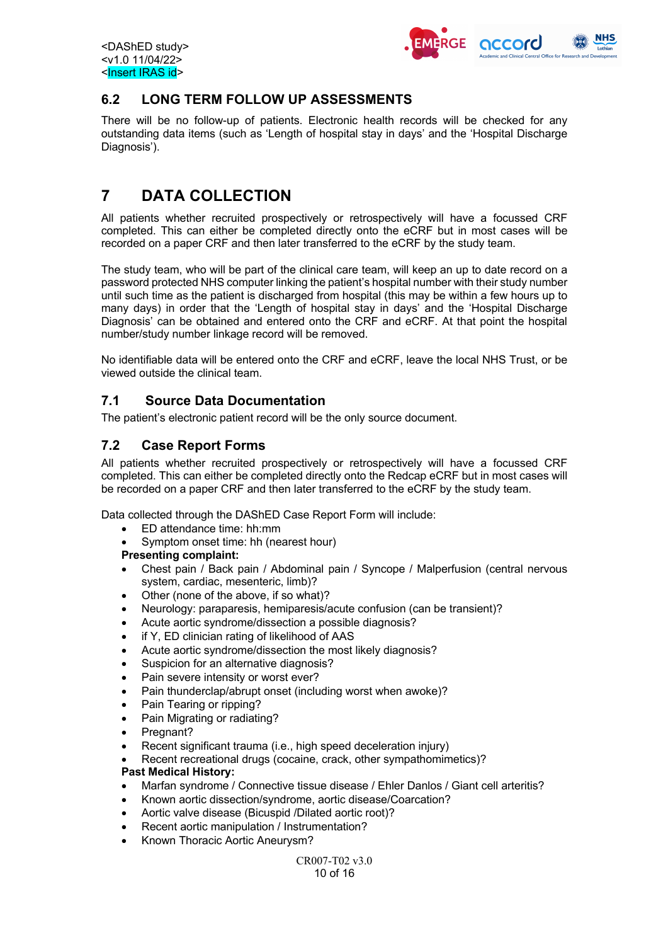<DAShED study> <v1.0 11/04/22> <Insert IRAS id>



### **6.2 LONG TERM FOLLOW UP ASSESSMENTS**

There will be no follow-up of patients. Electronic health records will be checked for any outstanding data items (such as 'Length of hospital stay in days' and the 'Hospital Discharge Diagnosis').

## **7 DATA COLLECTION**

All patients whether recruited prospectively or retrospectively will have a focussed CRF completed. This can either be completed directly onto the eCRF but in most cases will be recorded on a paper CRF and then later transferred to the eCRF by the study team.

The study team, who will be part of the clinical care team, will keep an up to date record on a password protected NHS computer linking the patient's hospital number with their study number until such time as the patient is discharged from hospital (this may be within a few hours up to many days) in order that the 'Length of hospital stay in days' and the 'Hospital Discharge Diagnosis' can be obtained and entered onto the CRF and eCRF. At that point the hospital number/study number linkage record will be removed.

No identifiable data will be entered onto the CRF and eCRF, leave the local NHS Trust, or be viewed outside the clinical team.

### **7.1 Source Data Documentation**

The patient's electronic patient record will be the only source document.

### **7.2 Case Report Forms**

All patients whether recruited prospectively or retrospectively will have a focussed CRF completed. This can either be completed directly onto the Redcap eCRF but in most cases will be recorded on a paper CRF and then later transferred to the eCRF by the study team.

Data collected through the DAShED Case Report Form will include:

- ED attendance time: hh:mm
- Symptom onset time: hh (nearest hour)

#### **Presenting complaint:**

- Chest pain / Back pain / Abdominal pain / Syncope / Malperfusion (central nervous system, cardiac, mesenteric, limb)?
- Other (none of the above, if so what)?
- Neurology: paraparesis, hemiparesis/acute confusion (can be transient)?
- Acute aortic syndrome/dissection a possible diagnosis?
- if Y, ED clinician rating of likelihood of AAS
- Acute aortic syndrome/dissection the most likely diagnosis?
- Suspicion for an alternative diagnosis?
- Pain severe intensity or worst ever?
- Pain thunderclap/abrupt onset (including worst when awoke)?
- Pain Tearing or ripping?
- Pain Migrating or radiating?
- Pregnant?
- Recent significant trauma (i.e., high speed deceleration injury)
- Recent recreational drugs (cocaine, crack, other sympathomimetics)? **Past Medical History:**

- Marfan syndrome / Connective tissue disease / Ehler Danlos / Giant cell arteritis?
- Known aortic dissection/syndrome, aortic disease/Coarcation?
- Aortic valve disease (Bicuspid /Dilated aortic root)? Recent aortic manipulation / Instrumentation?
- Known Thoracic Aortic Aneurysm?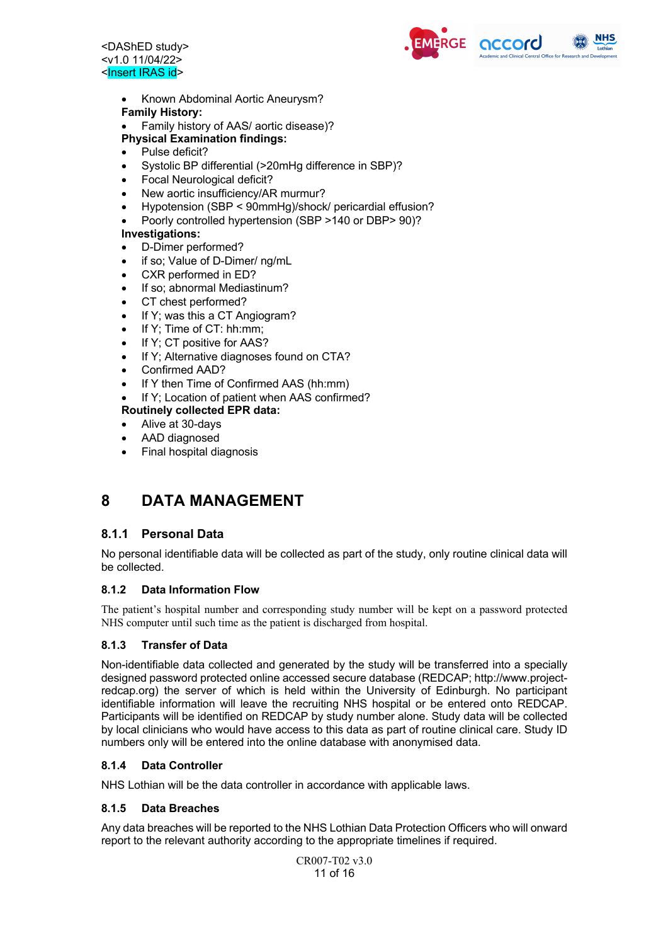<DAShED study> <v1.0 11/04/22> <Insert IRAS id>



- Known Abdominal Aortic Aneurysm?
- **Family History:**
- Family history of AAS/ aortic disease)?

#### **Physical Examination findings:**

- Pulse deficit?
- Systolic BP differential (>20mHg difference in SBP)?
- Focal Neurological deficit?
- New aortic insufficiency/AR murmur?
- Hypotension (SBP < 90mmHg)/shock/ pericardial effusion?
- Poorly controlled hypertension (SBP >140 or DBP> 90)?

#### **Investigations:**

- D-Dimer performed?
- if so; Value of D-Dimer/ ng/mL
- CXR performed in ED?
- If so; abnormal Mediastinum?
- CT chest performed?
- If Y; was this a CT Angiogram?
- If Y; Time of CT: hh:mm;
- If Y; CT positive for AAS?
- If Y: Alternative diagnoses found on CTA?
- Confirmed AAD?
- If Y then Time of Confirmed AAS (hh:mm)
- If Y; Location of patient when AAS confirmed?

**Routinely collected EPR data:**

- Alive at 30-days
- AAD diagnosed
- Final hospital diagnosis

## **8 DATA MANAGEMENT**

#### **8.1.1 Personal Data**

No personal identifiable data will be collected as part of the study, only routine clinical data will be collected.

#### **8.1.2 Data Information Flow**

The patient's hospital number and corresponding study number will be kept on a password protected NHS computer until such time as the patient is discharged from hospital.

#### **8.1.3 Transfer of Data**

Non-identifiable data collected and generated by the study will be transferred into a specially designed password protected online accessed secure database (REDCAP; http://www.projectredcap.org) the server of which is held within the University of Edinburgh. No participant identifiable information will leave the recruiting NHS hospital or be entered onto REDCAP. Participants will be identified on REDCAP by study number alone. Study data will be collected by local clinicians who would have access to this data as part of routine clinical care. Study ID numbers only will be entered into the online database with anonymised data.

#### **8.1.4 Data Controller**

NHS Lothian will be the data controller in accordance with applicable laws.

#### **8.1.5 Data Breaches**

Any data breaches will be reported to the NHS Lothian Data Protection Officers who will onward report to the relevant authority according to the appropriate timelines if required.

> CR007-T02 v3.0 11 of 16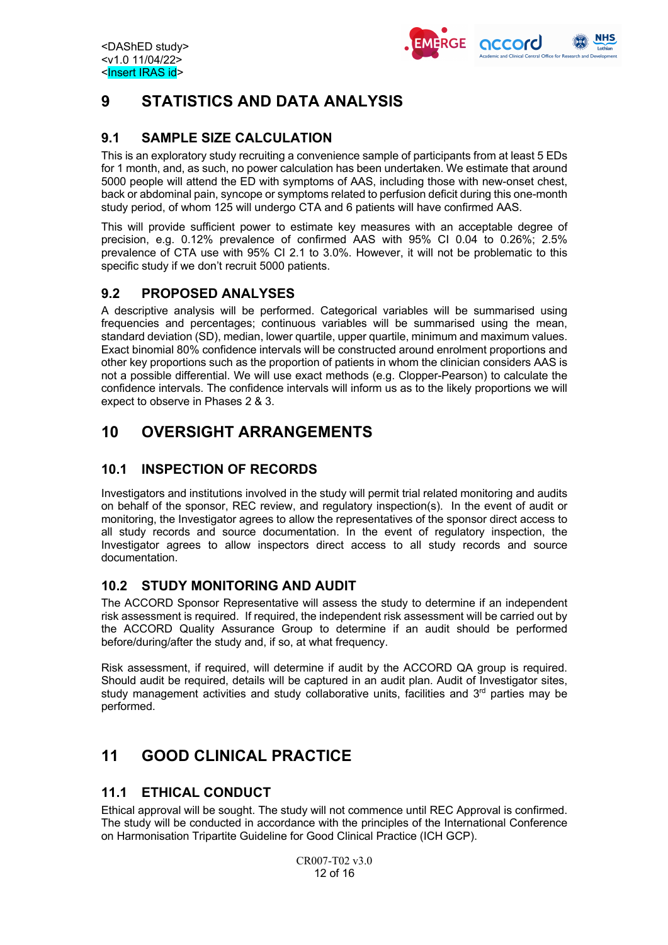

## **9 STATISTICS AND DATA ANALYSIS**

### **9.1 SAMPLE SIZE CALCULATION**

This is an exploratory study recruiting a convenience sample of participants from at least 5 EDs for 1 month, and, as such, no power calculation has been undertaken. We estimate that around 5000 people will attend the ED with symptoms of AAS, including those with new-onset chest, back or abdominal pain, syncope or symptoms related to perfusion deficit during this one-month study period, of whom 125 will undergo CTA and 6 patients will have confirmed AAS.

This will provide sufficient power to estimate key measures with an acceptable degree of precision, e.g. 0.12% prevalence of confirmed AAS with 95% CI 0.04 to 0.26%; 2.5% prevalence of CTA use with 95% CI 2.1 to 3.0%. However, it will not be problematic to this specific study if we don't recruit 5000 patients.

### **9.2 PROPOSED ANALYSES**

A descriptive analysis will be performed. Categorical variables will be summarised using frequencies and percentages; continuous variables will be summarised using the mean, standard deviation (SD), median, lower quartile, upper quartile, minimum and maximum values. Exact binomial 80% confidence intervals will be constructed around enrolment proportions and other key proportions such as the proportion of patients in whom the clinician considers AAS is not a possible differential. We will use exact methods (e.g. Clopper-Pearson) to calculate the confidence intervals. The confidence intervals will inform us as to the likely proportions we will expect to observe in Phases 2 & 3.

## **10 OVERSIGHT ARRANGEMENTS**

### **10.1 INSPECTION OF RECORDS**

Investigators and institutions involved in the study will permit trial related monitoring and audits on behalf of the sponsor, REC review, and regulatory inspection(s). In the event of audit or monitoring, the Investigator agrees to allow the representatives of the sponsor direct access to all study records and source documentation. In the event of regulatory inspection, the Investigator agrees to allow inspectors direct access to all study records and source documentation.

### **10.2 STUDY MONITORING AND AUDIT**

The ACCORD Sponsor Representative will assess the study to determine if an independent risk assessment is required. If required, the independent risk assessment will be carried out by the ACCORD Quality Assurance Group to determine if an audit should be performed before/during/after the study and, if so, at what frequency.

Risk assessment, if required, will determine if audit by the ACCORD QA group is required. Should audit be required, details will be captured in an audit plan. Audit of Investigator sites, study management activities and study collaborative units, facilities and  $3<sup>rd</sup>$  parties may be performed.

## **11 GOOD CLINICAL PRACTICE**

### **11.1 ETHICAL CONDUCT**

Ethical approval will be sought. The study will not commence until REC Approval is confirmed. The study will be conducted in accordance with the principles of the International Conference on Harmonisation Tripartite Guideline for Good Clinical Practice (ICH GCP).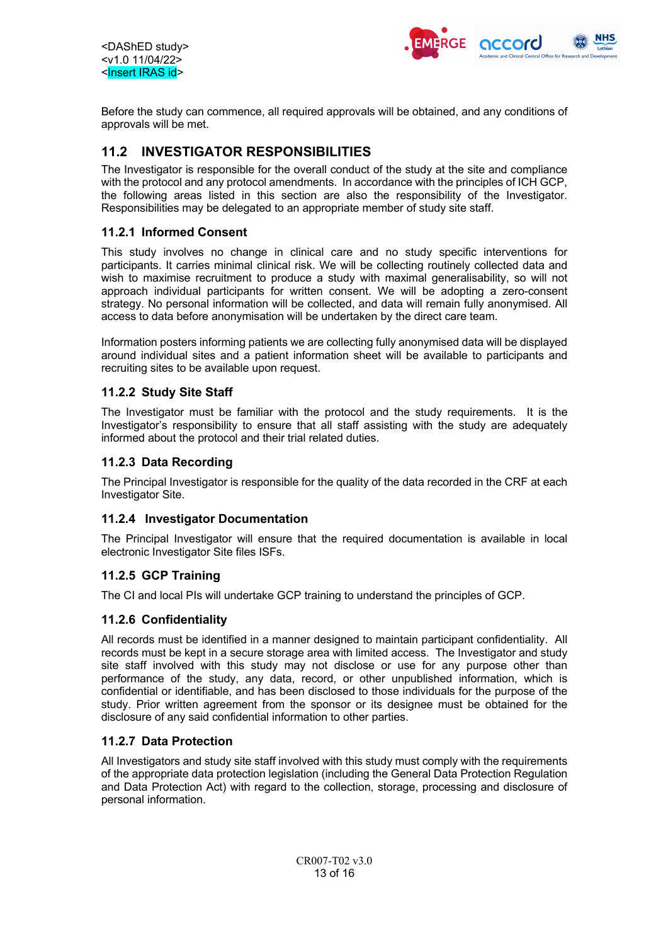<DAShED study> <v1.0 11/04/22> <Insert IRAS id>



Before the study can commence, all required approvals will be obtained, and any conditions of approvals will be met.

### **11.2 INVESTIGATOR RESPONSIBILITIES**

The Investigator is responsible for the overall conduct of the study at the site and compliance with the protocol and any protocol amendments. In accordance with the principles of ICH GCP, the following areas listed in this section are also the responsibility of the Investigator. Responsibilities may be delegated to an appropriate member of study site staff.

#### **11.2.1 Informed Consent**

This study involves no change in clinical care and no study specific interventions for participants. It carries minimal clinical risk. We will be collecting routinely collected data and wish to maximise recruitment to produce a study with maximal generalisability, so will not approach individual participants for written consent. We will be adopting a zero-consent strategy. No personal information will be collected, and data will remain fully anonymised. All access to data before anonymisation will be undertaken by the direct care team.

Information posters informing patients we are collecting fully anonymised data will be displayed around individual sites and a patient information sheet will be available to participants and recruiting sites to be available upon request.

#### **11.2.2 Study Site Staff**

The Investigator must be familiar with the protocol and the study requirements. It is the Investigator's responsibility to ensure that all staff assisting with the study are adequately informed about the protocol and their trial related duties.

#### **11.2.3 Data Recording**

The Principal Investigator is responsible for the quality of the data recorded in the CRF at each Investigator Site.

#### **11.2.4 Investigator Documentation**

The Principal Investigator will ensure that the required documentation is available in local electronic Investigator Site files ISFs.

#### **11.2.5 GCP Training**

The CI and local PIs will undertake GCP training to understand the principles of GCP.

#### **11.2.6 Confidentiality**

All records must be identified in a manner designed to maintain participant confidentiality. All records must be kept in a secure storage area with limited access. The Investigator and study site staff involved with this study may not disclose or use for any purpose other than performance of the study, any data, record, or other unpublished information, which is confidential or identifiable, and has been disclosed to those individuals for the purpose of the study. Prior written agreement from the sponsor or its designee must be obtained for the disclosure of any said confidential information to other parties.

#### **11.2.7 Data Protection**

All Investigators and study site staff involved with this study must comply with the requirements of the appropriate data protection legislation (including the General Data Protection Regulation and Data Protection Act) with regard to the collection, storage, processing and disclosure of personal information.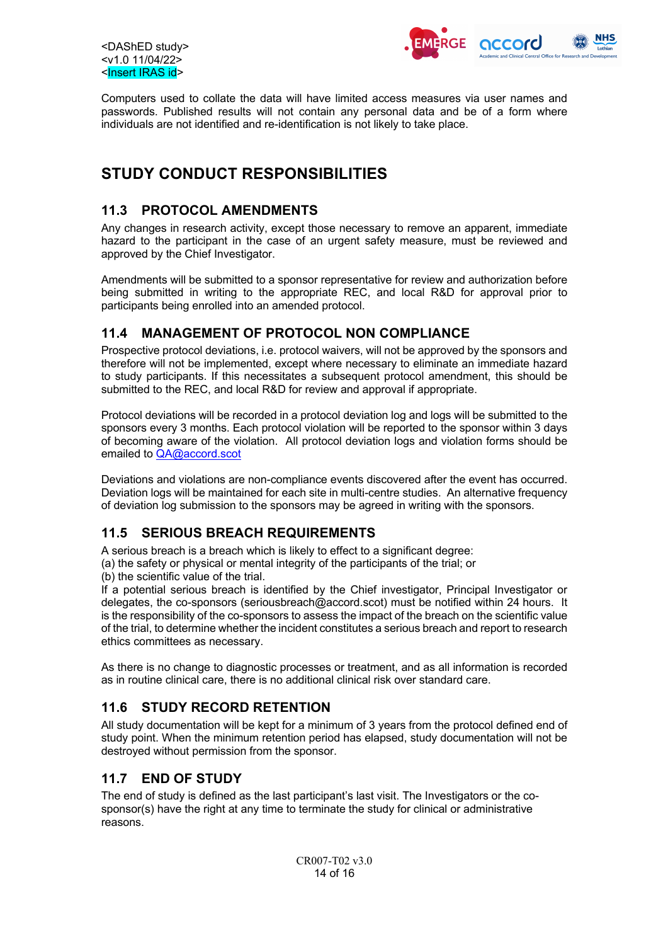



Computers used to collate the data will have limited access measures via user names and passwords. Published results will not contain any personal data and be of a form where individuals are not identified and re-identification is not likely to take place.

## **STUDY CONDUCT RESPONSIBILITIES**

### **11.3 PROTOCOL AMENDMENTS**

Any changes in research activity, except those necessary to remove an apparent, immediate hazard to the participant in the case of an urgent safety measure, must be reviewed and approved by the Chief Investigator.

Amendments will be submitted to a sponsor representative for review and authorization before being submitted in writing to the appropriate REC, and local R&D for approval prior to participants being enrolled into an amended protocol.

### **11.4 MANAGEMENT OF PROTOCOL NON COMPLIANCE**

Prospective protocol deviations, i.e. protocol waivers, will not be approved by the sponsors and therefore will not be implemented, except where necessary to eliminate an immediate hazard to study participants. If this necessitates a subsequent protocol amendment, this should be submitted to the REC, and local R&D for review and approval if appropriate.

Protocol deviations will be recorded in a protocol deviation log and logs will be submitted to the sponsors every 3 months. Each protocol violation will be reported to the sponsor within 3 days of becoming aware of the violation. All protocol deviation logs and violation forms should be emailed to QA@accord.scot

Deviations and violations are non-compliance events discovered after the event has occurred. Deviation logs will be maintained for each site in multi-centre studies. An alternative frequency of deviation log submission to the sponsors may be agreed in writing with the sponsors.

### **11.5 SERIOUS BREACH REQUIREMENTS**

A serious breach is a breach which is likely to effect to a significant degree:

(a) the safety or physical or mental integrity of the participants of the trial; or

(b) the scientific value of the trial.

If a potential serious breach is identified by the Chief investigator, Principal Investigator or delegates, the co-sponsors (seriousbreach@accord.scot) must be notified within 24 hours. It is the responsibility of the co-sponsors to assess the impact of the breach on the scientific value of the trial, to determine whether the incident constitutes a serious breach and report to research ethics committees as necessary.

As there is no change to diagnostic processes or treatment, and as all information is recorded as in routine clinical care, there is no additional clinical risk over standard care.

### **11.6 STUDY RECORD RETENTION**

All study documentation will be kept for a minimum of 3 years from the protocol defined end of study point. When the minimum retention period has elapsed, study documentation will not be destroyed without permission from the sponsor.

### **11.7 END OF STUDY**

The end of study is defined as the last participant's last visit. The Investigators or the cosponsor(s) have the right at any time to terminate the study for clinical or administrative reasons.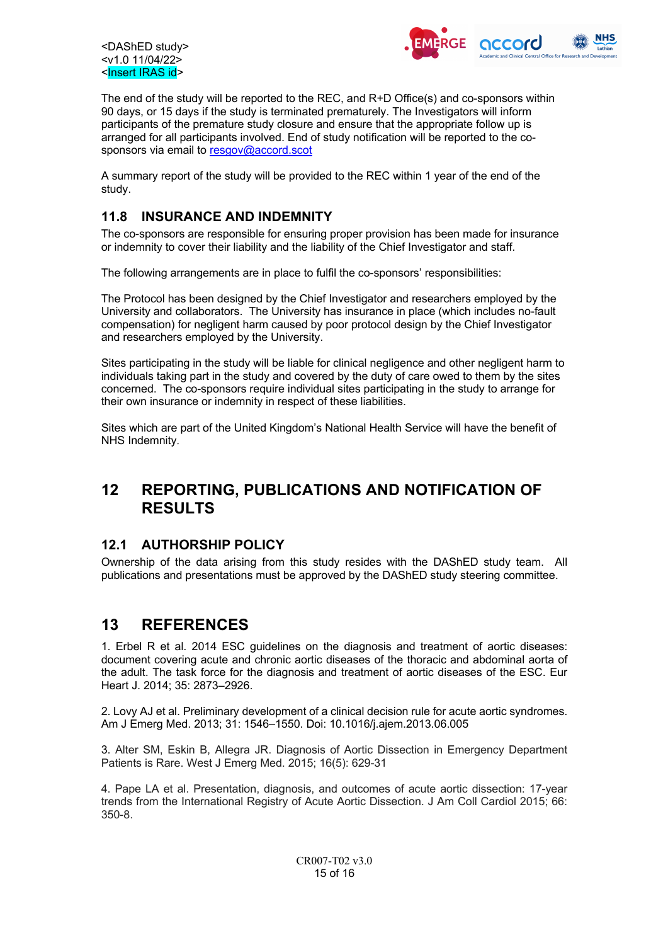



The end of the study will be reported to the REC, and R+D Office(s) and co-sponsors within 90 days, or 15 days if the study is terminated prematurely. The Investigators will inform participants of the premature study closure and ensure that the appropriate follow up is arranged for all participants involved. End of study notification will be reported to the cosponsors via email to resgov@accord.scot

A summary report of the study will be provided to the REC within 1 year of the end of the study.

### **11.8 INSURANCE AND INDEMNITY**

The co-sponsors are responsible for ensuring proper provision has been made for insurance or indemnity to cover their liability and the liability of the Chief Investigator and staff.

The following arrangements are in place to fulfil the co-sponsors' responsibilities:

The Protocol has been designed by the Chief Investigator and researchers employed by the University and collaborators. The University has insurance in place (which includes no-fault compensation) for negligent harm caused by poor protocol design by the Chief Investigator and researchers employed by the University.

Sites participating in the study will be liable for clinical negligence and other negligent harm to individuals taking part in the study and covered by the duty of care owed to them by the sites concerned. The co-sponsors require individual sites participating in the study to arrange for their own insurance or indemnity in respect of these liabilities.

Sites which are part of the United Kingdom's National Health Service will have the benefit of NHS Indemnity.

### **12 REPORTING, PUBLICATIONS AND NOTIFICATION OF RESULTS**

### **12.1 AUTHORSHIP POLICY**

Ownership of the data arising from this study resides with the DAShED study team. All publications and presentations must be approved by the DAShED study steering committee.

### **13 REFERENCES**

1. Erbel R et al. 2014 ESC guidelines on the diagnosis and treatment of aortic diseases: document covering acute and chronic aortic diseases of the thoracic and abdominal aorta of the adult. The task force for the diagnosis and treatment of aortic diseases of the ESC. Eur Heart J. 2014; 35: 2873–2926.

2. Lovy AJ et al. Preliminary development of a clinical decision rule for acute aortic syndromes. Am J Emerg Med. 2013; 31: 1546–1550. Doi: 10.1016/j.ajem.2013.06.005

3. Alter SM, Eskin B, Allegra JR. Diagnosis of Aortic Dissection in Emergency Department Patients is Rare. West J Emerg Med. 2015; 16(5): 629-31

4. Pape LA et al. Presentation, diagnosis, and outcomes of acute aortic dissection: 17-year trends from the International Registry of Acute Aortic Dissection. J Am Coll Cardiol 2015; 66: 350-8.